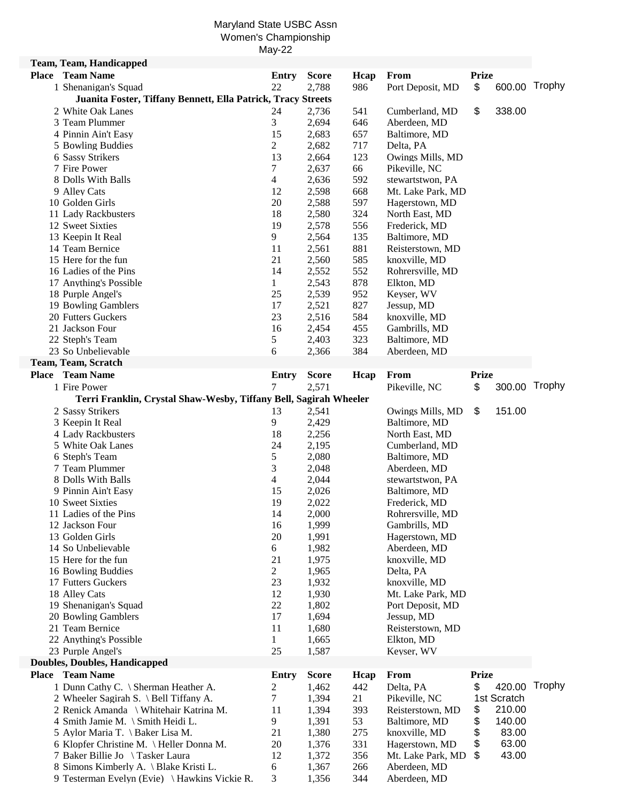## Maryland State USBC Assn Women's Championship May-22

| <b>Team, Team, Handicapped</b>                                             |                |                |            |                                   |              |               |        |
|----------------------------------------------------------------------------|----------------|----------------|------------|-----------------------------------|--------------|---------------|--------|
| <b>Place</b> Team Name                                                     | <b>Entry</b>   | <b>Score</b>   | Hcap       | From                              | <b>Prize</b> |               |        |
| 1 Shenanigan's Squad                                                       | 22             | 2,788          | 986        | Port Deposit, MD                  | \$           | 600.00 Trophy |        |
| Juanita Foster, Tiffany Bennett, Ella Patrick, Tracy Streets               |                |                |            |                                   |              |               |        |
| 2 White Oak Lanes                                                          | 24             | 2,736          | 541        | Cumberland, MD                    | \$           | 338.00        |        |
| 3 Team Plummer                                                             | 3              | 2,694          | 646        | Aberdeen, MD                      |              |               |        |
| 4 Pinnin Ain't Easy                                                        | 15             | 2,683          | 657        | Baltimore, MD                     |              |               |        |
| 5 Bowling Buddies                                                          | $\overline{2}$ | 2,682          | 717        | Delta, PA                         |              |               |        |
| 6 Sassy Strikers                                                           | 13             | 2,664          | 123        | Owings Mills, MD                  |              |               |        |
| 7 Fire Power                                                               | 7              | 2,637          | 66         | Pikeville, NC                     |              |               |        |
| 8 Dolls With Balls                                                         | 4              | 2,636          | 592        | stewartstwon, PA                  |              |               |        |
| 9 Alley Cats                                                               | 12             | 2,598          | 668        | Mt. Lake Park, MD                 |              |               |        |
| 10 Golden Girls                                                            | 20             | 2,588          | 597        | Hagerstown, MD                    |              |               |        |
| 11 Lady Rackbusters                                                        | 18             | 2,580          | 324        | North East, MD                    |              |               |        |
| 12 Sweet Sixties                                                           | 19             | 2,578          | 556        | Frederick, MD                     |              |               |        |
| 13 Keepin It Real                                                          | 9              | 2,564          | 135        | Baltimore, MD                     |              |               |        |
| 14 Team Bernice                                                            | 11             | 2,561          | 881        | Reisterstown, MD                  |              |               |        |
| 15 Here for the fun                                                        | 21             | 2,560          | 585        | knoxville, MD                     |              |               |        |
| 16 Ladies of the Pins                                                      | 14             | 2,552          | 552        | Rohrersville, MD                  |              |               |        |
| 17 Anything's Possible                                                     | 1              | 2,543          | 878        | Elkton, MD                        |              |               |        |
| 18 Purple Angel's                                                          | 25             | 2,539          | 952        | Keyser, WV                        |              |               |        |
| 19 Bowling Gamblers                                                        | 17             | 2,521          | 827        | Jessup, MD                        |              |               |        |
| 20 Futters Guckers                                                         | 23             | 2,516          | 584        | knoxville, MD                     |              |               |        |
| 21 Jackson Four                                                            | 16             | 2,454          | 455        | Gambrills, MD                     |              |               |        |
| 22 Steph's Team                                                            | 5              | 2,403          | 323        | Baltimore, MD                     |              |               |        |
| 23 So Unbelievable                                                         | 6              | 2,366          | 384        | Aberdeen, MD                      |              |               |        |
| Team, Team, Scratch                                                        |                |                |            |                                   |              |               |        |
| <b>Place Team Name</b>                                                     | <b>Entry</b>   | <b>Score</b>   | Hcap       | From                              | <b>Prize</b> |               |        |
| 1 Fire Power                                                               | 7              | 2,571          |            | Pikeville, NC                     | \$           | 300.00 Trophy |        |
| Terri Franklin, Crystal Shaw-Wesby, Tiffany Bell, Sagirah Wheeler          |                |                |            |                                   |              |               |        |
| 2 Sassy Strikers                                                           | 13             | 2,541          |            | Owings Mills, MD                  | \$           | 151.00        |        |
| 3 Keepin It Real                                                           | 9              | 2,429          |            | Baltimore, MD                     |              |               |        |
| 4 Lady Rackbusters                                                         | 18             | 2,256          |            | North East, MD                    |              |               |        |
| 5 White Oak Lanes                                                          | 24             | 2,195          |            | Cumberland, MD                    |              |               |        |
|                                                                            |                |                |            |                                   |              |               |        |
| 6 Steph's Team                                                             | 5              | 2,080          |            | Baltimore, MD                     |              |               |        |
| 7 Team Plummer                                                             | 3              | 2,048          |            | Aberdeen, MD                      |              |               |        |
| 8 Dolls With Balls                                                         | 4              | 2,044          |            | stewartstwon, PA                  |              |               |        |
| 9 Pinnin Ain't Easy                                                        | 15             | 2,026          |            | Baltimore, MD                     |              |               |        |
| 10 Sweet Sixties                                                           | 19             | 2,022          |            | Frederick, MD                     |              |               |        |
| 11 Ladies of the Pins                                                      | 14             | 2,000          |            | Rohrersville, MD                  |              |               |        |
| 12 Jackson Four                                                            | 16             | 1,999          |            | Gambrills, MD                     |              |               |        |
| 13 Golden Girls                                                            | 20             | 1,991          |            | Hagerstown, MD                    |              |               |        |
| 14 So Unbelievable                                                         | 6              | 1,982          |            | Aberdeen, MD                      |              |               |        |
| 15 Here for the fun                                                        | 21             | 1,975          |            | knoxville, MD                     |              |               |        |
| 16 Bowling Buddies                                                         | $\overline{c}$ | 1,965          |            | Delta, PA                         |              |               |        |
| 17 Futters Guckers                                                         | 23             | 1,932          |            | knoxville, MD                     |              |               |        |
| 18 Alley Cats                                                              | 12             | 1,930          |            | Mt. Lake Park, MD                 |              |               |        |
| 19 Shenanigan's Squad                                                      | 22             | 1,802          |            | Port Deposit, MD                  |              |               |        |
| 20 Bowling Gamblers                                                        | 17             | 1,694          |            | Jessup, MD                        |              |               |        |
| 21 Team Bernice                                                            | 11             | 1,680          |            | Reisterstown, MD                  |              |               |        |
| 22 Anything's Possible                                                     | 1              | 1,665          |            | Elkton, MD                        |              |               |        |
| 23 Purple Angel's                                                          | 25             | 1,587          |            | Keyser, WV                        |              |               |        |
| <b>Doubles, Doubles, Handicapped</b>                                       |                |                |            |                                   |              |               |        |
| <b>Place</b> Team Name                                                     | <b>Entry</b>   | <b>Score</b>   | Hcap       | From                              | <b>Prize</b> |               |        |
| 1 Dunn Cathy C. \ Sherman Heather A.                                       | 2              | 1,462          | 442        | Delta, PA                         | \$           | 420.00        | Trophy |
| 2 Wheeler Sagirah S. \ Bell Tiffany A.                                     | 7              | 1,394          | 21         | Pikeville, NC                     |              | 1st Scratch   |        |
| 2 Renick Amanda \ Whitehair Katrina M.                                     | 11             | 1,394          | 393        | Reisterstown, MD                  | \$           | 210.00        |        |
| 4 Smith Jamie M. \ Smith Heidi L.                                          | 9              | 1,391          | 53         | Baltimore, MD                     | \$           | 140.00        |        |
| 5 Aylor Maria T. \ Baker Lisa M.                                           | 21             | 1,380          | 275        | knoxville, MD                     | \$           | 83.00         |        |
| 6 Klopfer Christine M. \Heller Donna M.                                    | 20             | 1,376          | 331        | Hagerstown, MD                    | \$           | 63.00         |        |
| 7 Baker Billie Jo \ Tasker Laura<br>8 Simons Kimberly A. \ Blake Kristi L. | 12<br>6        | 1,372<br>1,367 | 356<br>266 | Mt. Lake Park, MD<br>Aberdeen, MD | \$           | 43.00         |        |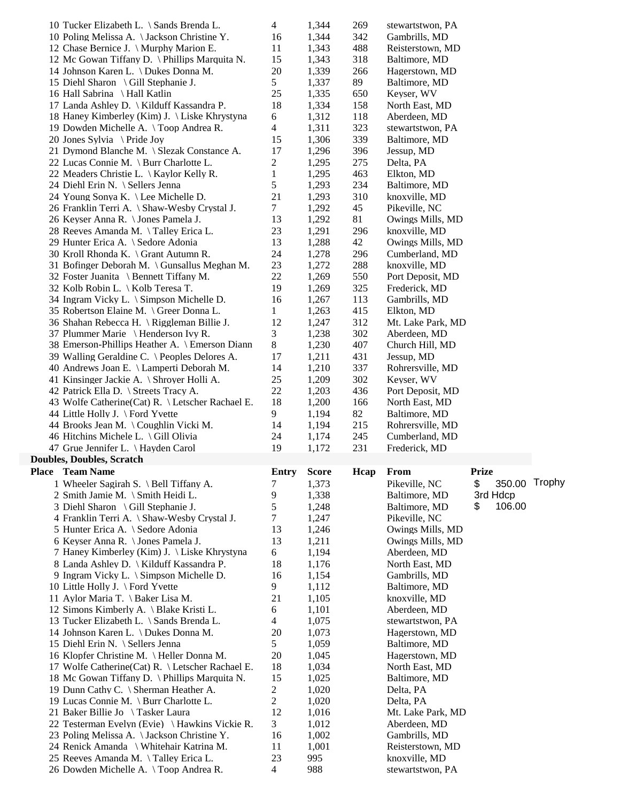| 10 Tucker Elizabeth L. \ Sands Brenda L.          | 4              | 1,344        | 269  | stewartstwon, PA                |                     |  |
|---------------------------------------------------|----------------|--------------|------|---------------------------------|---------------------|--|
| 10 Poling Melissa A. \ Jackson Christine Y.       | 16             | 1,344        | 342  | Gambrills, MD                   |                     |  |
| 12 Chase Bernice J. \ Murphy Marion E.            | 11             | 1,343        | 488  | Reisterstown, MD                |                     |  |
| 12 Mc Gowan Tiffany D. \ Phillips Marquita N.     | 15             | 1,343        | 318  | Baltimore, MD                   |                     |  |
| 14 Johnson Karen L. \ Dukes Donna M.              | 20             | 1,339        | 266  | Hagerstown, MD                  |                     |  |
| 15 Diehl Sharon \ Gill Stephanie J.               | 5              | 1,337        | 89   | Baltimore, MD                   |                     |  |
| 16 Hall Sabrina \ Hall Katlin                     | 25             | 1,335        | 650  | Keyser, WV                      |                     |  |
| 17 Landa Ashley D. \ Kilduff Kassandra P.         | 18             | 1,334        | 158  | North East, MD                  |                     |  |
| 18 Haney Kimberley (Kim) J. \ Liske Khrystyna     | 6              | 1,312        | 118  | Aberdeen, MD                    |                     |  |
| 19 Dowden Michelle A. \Toop Andrea R.             | 4              | 1,311        | 323  | stewartstwon, PA                |                     |  |
| 20 Jones Sylvia \ Pride Joy                       | 15             | 1,306        | 339  | Baltimore, MD                   |                     |  |
| 21 Dymond Blanche M. \ Slezak Constance A.        | 17             | 1,296        | 396  | Jessup, MD                      |                     |  |
| 22 Lucas Connie M. \ Burr Charlotte L.            | 2              | 1,295        | 275  | Delta, PA                       |                     |  |
| 22 Meaders Christie L. \ Kaylor Kelly R.          | $\mathbf{1}$   | 1,295        | 463  | Elkton, MD                      |                     |  |
| 24 Diehl Erin N. \ Sellers Jenna                  | 5              | 1,293        | 234  | Baltimore, MD                   |                     |  |
| 24 Young Sonya K. \ Lee Michelle D.               | 21             | 1,293        | 310  | knoxville, MD                   |                     |  |
| 26 Franklin Terri A. \ Shaw-Wesby Crystal J.      | 7              | 1,292        | 45   |                                 |                     |  |
|                                                   |                |              |      | Pikeville, NC                   |                     |  |
| 26 Keyser Anna R. \ Jones Pamela J.               | 13             | 1,292        | 81   | Owings Mills, MD                |                     |  |
| 28 Reeves Amanda M. \Talley Erica L.              | 23             | 1,291        | 296  | knoxville, MD                   |                     |  |
| 29 Hunter Erica A. \ Sedore Adonia                | 13             | 1,288        | 42   | Owings Mills, MD                |                     |  |
| 30 Kroll Rhonda K. \ Grant Autumn R.              | 24             | 1,278        | 296  | Cumberland, MD                  |                     |  |
| 31 Bofinger Deborah M. \Gunsallus Meghan M.       | 23             | 1,272        | 288  | knoxville, MD                   |                     |  |
| 32 Foster Juanita \ Bennett Tiffany M.            | 22             | 1,269        | 550  | Port Deposit, MD                |                     |  |
| 32 Kolb Robin L. \ Kolb Teresa T.                 | 19             | 1,269        | 325  | Frederick, MD                   |                     |  |
| 34 Ingram Vicky L. \ Simpson Michelle D.          | 16             | 1,267        | 113  | Gambrills, MD                   |                     |  |
| 35 Robertson Elaine M. \ Greer Donna L.           | 1              | 1,263        | 415  | Elkton, MD                      |                     |  |
| 36 Shahan Rebecca H. \ Riggleman Billie J.        | 12             | 1,247        | 312  | Mt. Lake Park, MD               |                     |  |
| 37 Plummer Marie \ Henderson Ivy R.               | 3              | 1,238        | 302  | Aberdeen, MD                    |                     |  |
| 38 Emerson-Phillips Heather A. \ Emerson Diann    | 8              | 1,230        | 407  | Church Hill, MD                 |                     |  |
| 39 Walling Geraldine C. \ Peoples Delores A.      | 17             | 1,211        | 431  | Jessup, MD                      |                     |  |
| 40 Andrews Joan E. \ Lamperti Deborah M.          | 14             | 1,210        | 337  | Rohrersville, MD                |                     |  |
| 41 Kinsinger Jackie A. \ Shroyer Holli A.         | 25             | 1,209        | 302  | Keyser, WV                      |                     |  |
|                                                   |                |              |      |                                 |                     |  |
| 42 Patrick Ella D. \ Streets Tracy A.             | 22             | 1,203        | 436  | Port Deposit, MD                |                     |  |
| 43 Wolfe Catherine (Cat) R. \ Letscher Rachael E. | 18             | 1,200        | 166  | North East, MD                  |                     |  |
| 44 Little Holly J. \ Ford Yvette                  | 9              | 1,194        | 82   | Baltimore, MD                   |                     |  |
| 44 Brooks Jean M. \Coughlin Vicki M.              | 14             | 1,194        | 215  | Rohrersville, MD                |                     |  |
|                                                   | 24             |              |      |                                 |                     |  |
| 46 Hitchins Michele L. \ Gill Olivia              |                | 1,174        | 245  | Cumberland, MD<br>Frederick, MD |                     |  |
| 47 Grue Jennifer L. \ Hayden Carol                | 19             | 1,172        | 231  |                                 |                     |  |
| <b>Doubles, Doubles, Scratch</b>                  |                |              |      |                                 |                     |  |
| Place Team Name                                   | <b>Entry</b>   | <b>Score</b> | Hcap | From                            | <b>Prize</b>        |  |
| 1 Wheeler Sagirah S. \ Bell Tiffany A.            | 7              | 1,373        |      | Pikeville, NC                   | 350.00 Trophy<br>\$ |  |
| 2 Smith Jamie M. \ Smith Heidi L.                 | 9              | 1,338        |      | Baltimore, MD                   | 3rd Hdcp            |  |
| 3 Diehl Sharon \ Gill Stephanie J.                | 5              | 1,248        |      | Baltimore, MD                   | 106.00<br>\$        |  |
| 4 Franklin Terri A. \ Shaw-Wesby Crystal J.       | 7              | 1,247        |      | Pikeville, NC                   |                     |  |
| 5 Hunter Erica A. \ Sedore Adonia                 | 13             | 1,246        |      | Owings Mills, MD                |                     |  |
| 6 Keyser Anna R. \ Jones Pamela J.                | 13             | 1,211        |      | Owings Mills, MD                |                     |  |
| 7 Haney Kimberley (Kim) J. \ Liske Khrystyna      | 6              | 1,194        |      | Aberdeen, MD                    |                     |  |
| 8 Landa Ashley D. \ Kilduff Kassandra P.          | 18             | 1,176        |      | North East, MD                  |                     |  |
| 9 Ingram Vicky L. \ Simpson Michelle D.           | 16             | 1,154        |      | Gambrills, MD                   |                     |  |
| 10 Little Holly J. \ Ford Yvette                  | 9              | 1,112        |      | Baltimore, MD                   |                     |  |
| 11 Aylor Maria T. \ Baker Lisa M.                 | 21             | 1,105        |      | knoxville, MD                   |                     |  |
| 12 Simons Kimberly A. \ Blake Kristi L.           | 6              | 1,101        |      | Aberdeen, MD                    |                     |  |
| 13 Tucker Elizabeth L. \ Sands Brenda L.          | 4              | 1,075        |      | stewartstwon, PA                |                     |  |
| 14 Johnson Karen L. \ Dukes Donna M.              | 20             | 1,073        |      | Hagerstown, MD                  |                     |  |
| 15 Diehl Erin N. \ Sellers Jenna                  | 5              | 1,059        |      | Baltimore, MD                   |                     |  |
| 16 Klopfer Christine M. \ Heller Donna M.         | 20             | 1,045        |      | Hagerstown, MD                  |                     |  |
| 17 Wolfe Catherine (Cat) R. \ Letscher Rachael E. | 18             | 1,034        |      | North East, MD                  |                     |  |
| 18 Mc Gowan Tiffany D. \ Phillips Marquita N.     | 15             | 1,025        |      | Baltimore, MD                   |                     |  |
| 19 Dunn Cathy C. \ Sherman Heather A.             | $\overline{c}$ | 1,020        |      | Delta, PA                       |                     |  |
| 19 Lucas Connie M. \ Burr Charlotte L.            | 2              | 1,020        |      | Delta, PA                       |                     |  |
| 21 Baker Billie Jo \ Tasker Laura                 | 12             | 1,016        |      | Mt. Lake Park, MD               |                     |  |
| 22 Testerman Evelyn (Evie) \ Hawkins Vickie R.    | 3              | 1,012        |      | Aberdeen, MD                    |                     |  |
| 23 Poling Melissa A. \Jackson Christine Y.        | 16             | 1,002        |      | Gambrills, MD                   |                     |  |
| 24 Renick Amanda \ Whitehair Katrina M.           | 11             | 1,001        |      | Reisterstown, MD                |                     |  |
| 25 Reeves Amanda M. \Talley Erica L.              | 23             | 995          |      | knoxville, MD                   |                     |  |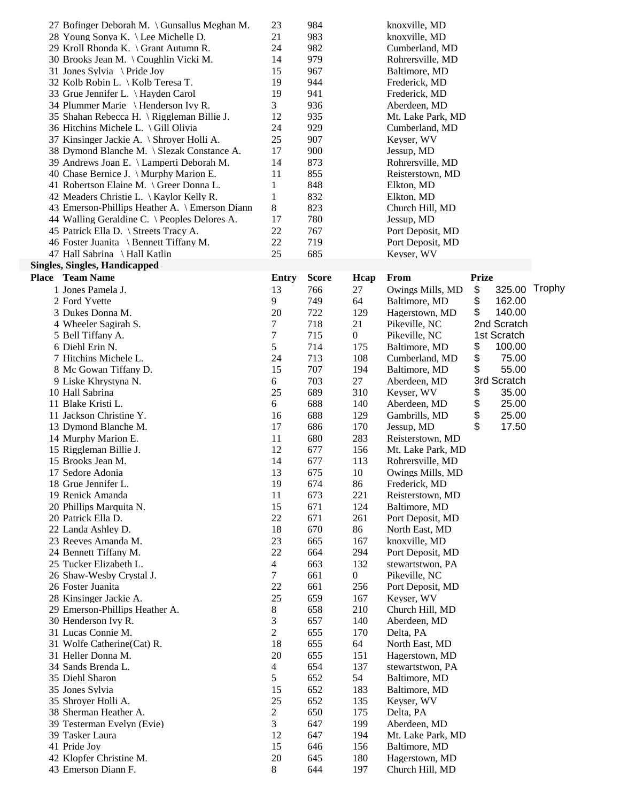|       | 27 Bofinger Deborah M. \ Gunsallus Meghan M.   | 23             | 984          |                  | knoxville, MD     |              |        |
|-------|------------------------------------------------|----------------|--------------|------------------|-------------------|--------------|--------|
|       | 28 Young Sonya K. \ Lee Michelle D.            | 21             | 983          |                  | knoxville, MD     |              |        |
|       | 29 Kroll Rhonda K. \ Grant Autumn R.           | 24             | 982          |                  | Cumberland, MD    |              |        |
|       | 30 Brooks Jean M. \Coughlin Vicki M.           | 14             | 979          |                  | Rohrersville, MD  |              |        |
|       | 31 Jones Sylvia \ Pride Joy                    | 15             | 967          |                  | Baltimore, MD     |              |        |
|       | 32 Kolb Robin L. \ Kolb Teresa T.              | 19             | 944          |                  | Frederick, MD     |              |        |
|       | 33 Grue Jennifer L. \ Hayden Carol             | 19             | 941          |                  | Frederick, MD     |              |        |
|       | 34 Plummer Marie \ Henderson Ivy R.            | 3              | 936          |                  | Aberdeen, MD      |              |        |
|       | 35 Shahan Rebecca H. \ Riggleman Billie J.     | 12             | 935          |                  |                   |              |        |
|       |                                                |                |              |                  | Mt. Lake Park, MD |              |        |
|       | 36 Hitchins Michele L. \Gill Olivia            | 24             | 929          |                  | Cumberland, MD    |              |        |
|       | 37 Kinsinger Jackie A. \ Shroyer Holli A.      | 25             | 907          |                  | Keyser, WV        |              |        |
|       | 38 Dymond Blanche M. \ Slezak Constance A.     | 17             | 900          |                  | Jessup, MD        |              |        |
|       | 39 Andrews Joan E. \ Lamperti Deborah M.       | 14             | 873          |                  | Rohrersville, MD  |              |        |
|       | 40 Chase Bernice J. \ Murphy Marion E.         | 11             | 855          |                  | Reisterstown, MD  |              |        |
|       | 41 Robertson Elaine M. \ Greer Donna L.        | 1              | 848          |                  | Elkton, MD        |              |        |
|       | 42 Meaders Christie L. \ Kaylor Kelly R.       | $\mathbf 1$    | 832          |                  | Elkton, MD        |              |        |
|       | 43 Emerson-Phillips Heather A. \ Emerson Diann | $8\,$          | 823          |                  | Church Hill, MD   |              |        |
|       | 44 Walling Geraldine C. \ Peoples Delores A.   | 17             | 780          |                  | Jessup, MD        |              |        |
|       | 45 Patrick Ella D. \ Streets Tracy A.          | 22             | 767          |                  | Port Deposit, MD  |              |        |
|       | 46 Foster Juanita \ Bennett Tiffany M.         | 22             | 719          |                  | Port Deposit, MD  |              |        |
|       | 47 Hall Sabrina \ Hall Katlin                  | 25             | 685          |                  | Keyser, WV        |              |        |
|       | <b>Singles, Singles, Handicapped</b>           |                |              |                  |                   |              |        |
| Place | <b>Team Name</b>                               | Entry          | <b>Score</b> | Hcap             | From              | <b>Prize</b> |        |
|       | 1 Jones Pamela J.                              | 13             | 766          | 27               | Owings Mills, MD  | 325.00       | Trophy |
|       |                                                |                |              |                  |                   | \$<br>\$     |        |
|       | 2 Ford Yvette                                  | 9              | 749          | 64               | Baltimore, MD     | 162.00       |        |
|       | 3 Dukes Donna M.                               | 20             | 722          | 129              | Hagerstown, MD    | \$<br>140.00 |        |
|       | 4 Wheeler Sagirah S.                           | 7              | 718          | 21               | Pikeville, NC     | 2nd Scratch  |        |
|       | 5 Bell Tiffany A.                              | $\tau$         | 715          | $\overline{0}$   | Pikeville, NC     | 1st Scratch  |        |
|       | 6 Diehl Erin N.                                | 5              | 714          | 175              | Baltimore, MD     | \$<br>100.00 |        |
|       | 7 Hitchins Michele L.                          | 24             | 713          | 108              | Cumberland, MD    | \$<br>75.00  |        |
|       | 8 Mc Gowan Tiffany D.                          | 15             | 707          | 194              | Baltimore, MD     | \$<br>55.00  |        |
|       | 9 Liske Khrystyna N.                           | 6              | 703          | 27               | Aberdeen, MD      | 3rd Scratch  |        |
|       | 10 Hall Sabrina                                | 25             | 689          | 310              | Keyser, WV        | \$<br>35.00  |        |
|       | 11 Blake Kristi L.                             | 6              | 688          | 140              | Aberdeen, MD      | \$<br>25.00  |        |
|       | 11 Jackson Christine Y.                        | 16             | 688          | 129              | Gambrills, MD     | \$<br>25.00  |        |
|       | 13 Dymond Blanche M.                           | 17             | 686          | 170              | Jessup, MD        | \$<br>17.50  |        |
|       | 14 Murphy Marion E.                            | 11             | 680          | 283              | Reisterstown, MD  |              |        |
|       | 15 Riggleman Billie J.                         | 12             | 677          | 156              | Mt. Lake Park, MD |              |        |
|       | 15 Brooks Jean M.                              | 14             | 677          | 113              | Rohrersville, MD  |              |        |
|       | 17 Sedore Adonia                               | 13             | 675          | 10               | Owings Mills, MD  |              |        |
|       | 18 Grue Jennifer L.                            | 19             | 674          | 86               | Frederick, MD     |              |        |
|       | 19 Renick Amanda                               | 11             | 673          | 221              | Reisterstown, MD  |              |        |
|       | 20 Phillips Marquita N.                        | 15             | 671          | 124              | Baltimore, MD     |              |        |
|       | 20 Patrick Ella D.                             | 22             | 671          | 261              | Port Deposit, MD  |              |        |
|       | 22 Landa Ashley D.                             | 18             | 670          | 86               | North East, MD    |              |        |
|       | 23 Reeves Amanda M.                            | 23             | 665          | 167              | knoxville, MD     |              |        |
|       | 24 Bennett Tiffany M.                          | 22             | 664          | 294              | Port Deposit, MD  |              |        |
|       | 25 Tucker Elizabeth L.                         | $\overline{4}$ | 663          | 132              | stewartstwon, PA  |              |        |
|       | 26 Shaw-Wesby Crystal J.                       | $\tau$         | 661          | $\boldsymbol{0}$ | Pikeville, NC     |              |        |
|       | 26 Foster Juanita                              | 22             | 661          | 256              | Port Deposit, MD  |              |        |
|       |                                                | 25             |              |                  |                   |              |        |
|       | 28 Kinsinger Jackie A.                         |                | 659          | 167              | Keyser, WV        |              |        |
|       | 29 Emerson-Phillips Heather A.                 | 8              | 658          | 210              | Church Hill, MD   |              |        |
|       | 30 Henderson Ivy R.                            | 3              | 657          | 140              | Aberdeen, MD      |              |        |
|       | 31 Lucas Connie M.                             | $\overline{2}$ | 655          | 170              | Delta, PA         |              |        |
|       | 31 Wolfe Catherine (Cat) R.                    | 18             | 655          | 64               | North East, MD    |              |        |
|       | 31 Heller Donna M.                             | 20             | 655          | 151              | Hagerstown, MD    |              |        |
|       | 34 Sands Brenda L.                             | $\overline{4}$ | 654          | 137              | stewartstwon, PA  |              |        |
|       | 35 Diehl Sharon                                | 5              | 652          | 54               | Baltimore, MD     |              |        |
|       | 35 Jones Sylvia                                | 15             | 652          | 183              | Baltimore, MD     |              |        |
|       | 35 Shroyer Holli A.                            | 25             | 652          | 135              | Keyser, WV        |              |        |
|       | 38 Sherman Heather A.                          | $\overline{c}$ | 650          | 175              | Delta, PA         |              |        |
|       | 39 Testerman Evelyn (Evie)                     | 3              | 647          | 199              | Aberdeen, MD      |              |        |
|       | 39 Tasker Laura                                | 12             | 647          | 194              | Mt. Lake Park, MD |              |        |
|       | 41 Pride Joy                                   | 15             | 646          | 156              | Baltimore, MD     |              |        |
|       | 42 Klopfer Christine M.                        | 20             | 645          | 180              | Hagerstown, MD    |              |        |
|       | 43 Emerson Diann F.                            | 8              | 644          | 197              | Church Hill, MD   |              |        |
|       |                                                |                |              |                  |                   |              |        |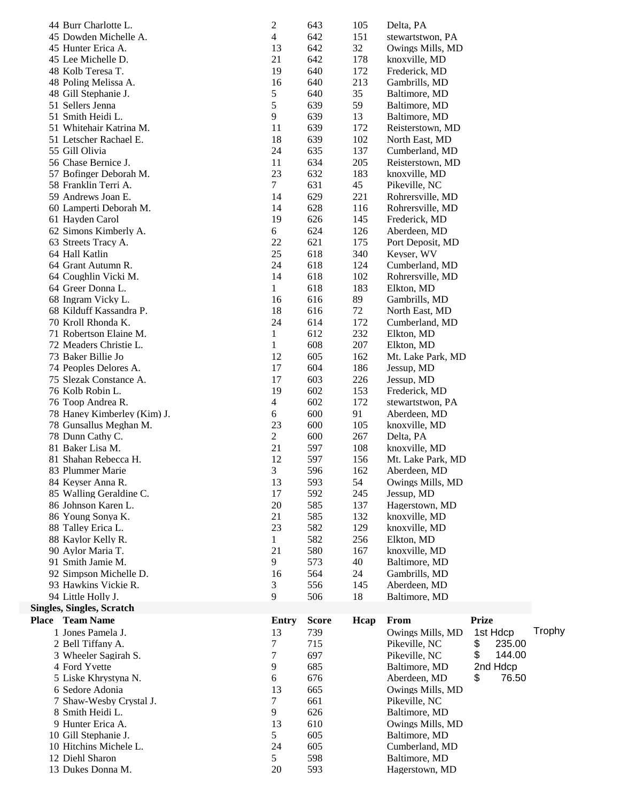|       | 44 Burr Charlotte L.                 | $\boldsymbol{2}$ | 643          | 105  | Delta, PA                       |              |        |
|-------|--------------------------------------|------------------|--------------|------|---------------------------------|--------------|--------|
|       | 45 Dowden Michelle A.                | $\overline{4}$   | 642          | 151  | stewartstwon, PA                |              |        |
|       | 45 Hunter Erica A.                   | 13               | 642          | 32   | Owings Mills, MD                |              |        |
|       | 45 Lee Michelle D.                   | 21               | 642          | 178  | knoxville, MD                   |              |        |
|       | 48 Kolb Teresa T.                    | 19               | 640          | 172  | Frederick, MD                   |              |        |
|       | 48 Poling Melissa A.                 | 16               | 640          | 213  | Gambrills, MD                   |              |        |
|       | 48 Gill Stephanie J.                 | 5                | 640          | 35   | Baltimore, MD                   |              |        |
|       | 51 Sellers Jenna                     | 5                | 639          | 59   | Baltimore, MD                   |              |        |
|       | 51 Smith Heidi L.                    | 9                | 639          | 13   | Baltimore, MD                   |              |        |
|       | 51 Whitehair Katrina M.              | 11               | 639          | 172  | Reisterstown, MD                |              |        |
|       | 51 Letscher Rachael E.               | 18               | 639          | 102  | North East, MD                  |              |        |
|       | 55 Gill Olivia                       | 24               | 635          | 137  | Cumberland, MD                  |              |        |
|       | 56 Chase Bernice J.                  | 11               | 634          | 205  | Reisterstown, MD                |              |        |
|       | 57 Bofinger Deborah M.               | 23               | 632          | 183  | knoxville, MD                   |              |        |
|       | 58 Franklin Terri A.                 | $\tau$           | 631          | 45   | Pikeville, NC                   |              |        |
|       | 59 Andrews Joan E.                   | 14               | 629          | 221  | Rohrersville, MD                |              |        |
|       | 60 Lamperti Deborah M.               | 14               | 628          | 116  | Rohrersville, MD                |              |        |
|       | 61 Hayden Carol                      | 19               | 626          | 145  | Frederick, MD                   |              |        |
|       | 62 Simons Kimberly A.                | 6                | 624          | 126  | Aberdeen, MD                    |              |        |
|       | 63 Streets Tracy A.                  | 22               | 621          | 175  | Port Deposit, MD                |              |        |
|       | 64 Hall Katlin                       | 25               | 618          | 340  | Keyser, WV                      |              |        |
|       | 64 Grant Autumn R.                   | 24               | 618          | 124  | Cumberland, MD                  |              |        |
|       | 64 Coughlin Vicki M.                 | 14               | 618          | 102  | Rohrersville, MD                |              |        |
|       | 64 Greer Donna L.                    | $\mathbf{1}$     | 618          | 183  |                                 |              |        |
|       |                                      |                  |              |      | Elkton, MD                      |              |        |
|       | 68 Ingram Vicky L.                   | 16               | 616          | 89   | Gambrills, MD                   |              |        |
|       | 68 Kilduff Kassandra P.              | 18               | 616          | 72   | North East, MD                  |              |        |
|       | 70 Kroll Rhonda K.                   | 24               | 614          | 172  | Cumberland, MD                  |              |        |
|       | 71 Robertson Elaine M.               | $\mathbf{1}$     | 612          | 232  | Elkton, MD                      |              |        |
|       | 72 Meaders Christie L.               | $\mathbf{1}$     | 608          | 207  | Elkton, MD                      |              |        |
|       | 73 Baker Billie Jo                   | 12               | 605          | 162  | Mt. Lake Park, MD               |              |        |
|       | 74 Peoples Delores A.                | 17               | 604          | 186  | Jessup, MD                      |              |        |
|       | 75 Slezak Constance A.               | 17               | 603          | 226  | Jessup, MD                      |              |        |
|       | 76 Kolb Robin L.                     | 19               | 602          | 153  | Frederick, MD                   |              |        |
|       | 76 Toop Andrea R.                    | $\overline{4}$   | 602          | 172  | stewartstwon, PA                |              |        |
|       | 78 Haney Kimberley (Kim) J.          | 6                | 600          | 91   | Aberdeen, MD                    |              |        |
|       | 78 Gunsallus Meghan M.               | 23               | 600          | 105  | knoxville, MD                   |              |        |
|       | 78 Dunn Cathy C.                     | $\overline{c}$   | 600          | 267  | Delta, PA                       |              |        |
|       | 81 Baker Lisa M.                     | 21               | 597          | 108  | knoxville, MD                   |              |        |
|       | 81 Shahan Rebecca H.                 | 12               | 597          | 156  | Mt. Lake Park, MD               |              |        |
|       | 83 Plummer Marie                     | 3                | 596          | 162  | Aberdeen, MD                    |              |        |
|       | 84 Keyser Anna R.                    | 13               | 593          | 54   | Owings Mills, MD                |              |        |
|       | 85 Walling Geraldine C.              | 17               | 592          | 245  | Jessup, MD                      |              |        |
|       | 86 Johnson Karen L.                  | 20               | 585          | 137  | Hagerstown, MD                  |              |        |
|       | 86 Young Sonya K.                    | 21               | 585          | 132  | knoxville, MD                   |              |        |
|       | 88 Talley Erica L.                   | 23               | 582          | 129  | knoxville, MD                   |              |        |
|       | 88 Kaylor Kelly R.                   | 1                | 582          | 256  | Elkton, MD                      |              |        |
|       | 90 Aylor Maria T.                    | 21               | 580          | 167  | knoxville, MD                   |              |        |
|       | 91 Smith Jamie M.                    | 9                | 573          | 40   | Baltimore, MD                   |              |        |
|       | 92 Simpson Michelle D.               | 16               | 564          | 24   | Gambrills, MD                   |              |        |
|       | 93 Hawkins Vickie R.                 | 3                | 556          | 145  | Aberdeen, MD                    |              |        |
|       | 94 Little Holly J.                   | 9                | 506          | 18   | Baltimore, MD                   |              |        |
|       | <b>Singles, Singles, Scratch</b>     |                  |              |      |                                 |              |        |
| Place | <b>Team Name</b>                     | <b>Entry</b>     | <b>Score</b> | Hcap | From                            | <b>Prize</b> |        |
|       | 1 Jones Pamela J.                    | 13               | 739          |      | Owings Mills, MD                | 1st Hdcp     | Trophy |
|       | 2 Bell Tiffany A.                    | 7                | 715          |      | Pikeville, NC                   | \$<br>235.00 |        |
|       | 3 Wheeler Sagirah S.                 | 7                | 697          |      | Pikeville, NC                   | \$<br>144.00 |        |
|       |                                      |                  |              |      | Baltimore, MD                   | 2nd Hdcp     |        |
|       |                                      |                  |              |      |                                 |              |        |
|       | 4 Ford Yvette                        | 9                | 685          |      |                                 |              |        |
|       | 5 Liske Khrystyna N.                 | 6                | 676          |      | Aberdeen, MD                    | 76.50<br>\$  |        |
|       | 6 Sedore Adonia                      | 13               | 665          |      | Owings Mills, MD                |              |        |
|       | 7 Shaw-Wesby Crystal J.              | 7                | 661          |      | Pikeville, NC                   |              |        |
|       | 8 Smith Heidi L.                     | 9                | 626          |      | Baltimore, MD                   |              |        |
|       | 9 Hunter Erica A.                    | 13               | 610          |      | Owings Mills, MD                |              |        |
|       | 10 Gill Stephanie J.                 | 5                | 605          |      | Baltimore, MD                   |              |        |
|       | 10 Hitchins Michele L.               | 24               | 605          |      | Cumberland, MD                  |              |        |
|       | 12 Diehl Sharon<br>13 Dukes Donna M. | 5<br>20          | 598<br>593   |      | Baltimore, MD<br>Hagerstown, MD |              |        |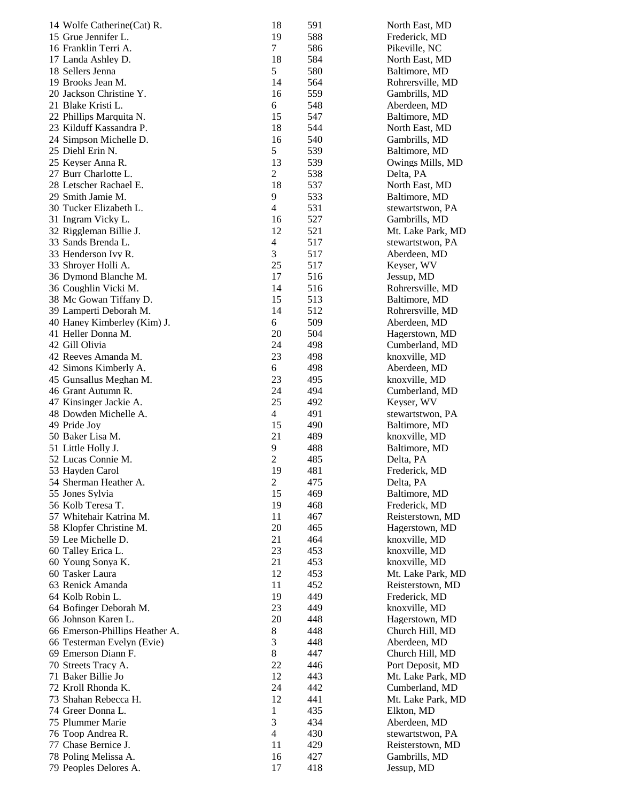| 14 Wolfe Catherine (Cat) R.    | 18               | 591 | North East, MD    |
|--------------------------------|------------------|-----|-------------------|
| 15 Grue Jennifer L.            | 19               | 588 | Frederick, MD     |
| 16 Franklin Terri A.           | 7                | 586 | Pikeville, NC     |
| 17 Landa Ashley D.             | 18               | 584 | North East, MD    |
| 18 Sellers Jenna               | 5                | 580 | Baltimore, MD     |
| 19 Brooks Jean M.              | 14               | 564 | Rohrersville, MD  |
| 20 Jackson Christine Y.        | 16               | 559 | Gambrills, MD     |
| 21 Blake Kristi L.             | 6                | 548 | Aberdeen, MD      |
| 22 Phillips Marquita N.        | 15               | 547 | Baltimore, MD     |
| 23 Kilduff Kassandra P.        | 18               | 544 | North East, MD    |
| 24 Simpson Michelle D.         | 16               | 540 | Gambrills, MD     |
| 25 Diehl Erin N.               | 5                | 539 | Baltimore, MD     |
| 25 Keyser Anna R.              | 13               | 539 | Owings Mills, MD  |
| 27 Burr Charlotte L.           | $\overline{c}$   | 538 | Delta, PA         |
| 28 Letscher Rachael E.         | 18               | 537 | North East, MD    |
| 29 Smith Jamie M.              | 9                | 533 | Baltimore, MD     |
| 30 Tucker Elizabeth L.         | $\overline{4}$   | 531 | stewartstwon, PA  |
| 31 Ingram Vicky L.             | 16               | 527 | Gambrills, MD     |
| 32 Riggleman Billie J.         | 12               | 521 | Mt. Lake Park, MD |
| 33 Sands Brenda L.             | $\overline{4}$   | 517 | stewartstwon, PA  |
| 33 Henderson Ivy R.            | 3                | 517 | Aberdeen, MD      |
| 33 Shroyer Holli A.            | 25               | 517 | Keyser, WV        |
| 36 Dymond Blanche M.           | 17               | 516 | Jessup, MD        |
| 36 Coughlin Vicki M.           | 14               | 516 | Rohrersville, MD  |
| 38 Mc Gowan Tiffany D.         | 15               | 513 | Baltimore, MD     |
| 39 Lamperti Deborah M.         | 14               | 512 | Rohrersville, MD  |
| 40 Haney Kimberley (Kim) J.    | 6                | 509 | Aberdeen, MD      |
| 41 Heller Donna M.             | 20               | 504 | Hagerstown, MD    |
| 42 Gill Olivia                 | 24               | 498 | Cumberland, MD    |
| 42 Reeves Amanda M.            | 23               | 498 | knoxville, MD     |
| 42 Simons Kimberly A.          | 6                | 498 | Aberdeen, MD      |
| 45 Gunsallus Meghan M.         | 23               | 495 | knoxville, MD     |
| 46 Grant Autumn R.             | 24               | 494 |                   |
|                                |                  |     | Cumberland, MD    |
| 47 Kinsinger Jackie A.         | 25               | 492 | Keyser, WV        |
| 48 Dowden Michelle A.          | 4                | 491 | stewartstwon, PA  |
| 49 Pride Joy                   | 15               | 490 | Baltimore, MD     |
| 50 Baker Lisa M.               | 21               | 489 | knoxville, MD     |
| 51 Little Holly J.             | 9                | 488 | Baltimore, MD     |
| 52 Lucas Connie M.             | $\overline{c}$   | 485 | Delta, PA         |
| 53 Hayden Carol                | 19               | 481 | Frederick, MD     |
| 54 Sherman Heather A.          | $\boldsymbol{2}$ | 475 | Delta, PA         |
| 55 Jones Sylvia                | 15               | 469 | Baltimore, MD     |
| 56 Kolb Teresa T.              | 19               | 468 | Frederick, MD     |
| 57 Whitehair Katrina M.        | 11               | 467 | Reisterstown, MD  |
| 58 Klopfer Christine M.        | 20               | 465 | Hagerstown, MD    |
| 59 Lee Michelle D.             | 21               | 464 | knoxville, MD     |
| 60 Talley Erica L.             | 23               | 453 | knoxville, MD     |
| 60 Young Sonya K.              | 21               | 453 | knoxville, MD     |
| 60 Tasker Laura                | 12               | 453 | Mt. Lake Park, MD |
| 63 Renick Amanda               | 11               | 452 | Reisterstown, MD  |
| 64 Kolb Robin L.               | 19               | 449 | Frederick, MD     |
| 64 Bofinger Deborah M.         | 23               | 449 | knoxville, MD     |
| 66 Johnson Karen L.            | 20               | 448 | Hagerstown, MD    |
| 66 Emerson-Phillips Heather A. | 8                | 448 | Church Hill, MD   |
| 66 Testerman Evelyn (Evie)     | 3                | 448 | Aberdeen, MD      |
| 69 Emerson Diann F.            | $\,8$            | 447 | Church Hill, MD   |
| 70 Streets Tracy A.            | 22               | 446 | Port Deposit, MD  |
| 71 Baker Billie Jo             | 12               | 443 | Mt. Lake Park, MD |
| 72 Kroll Rhonda K.             | 24               | 442 | Cumberland, MD    |
| 73 Shahan Rebecca H.           | 12               | 441 | Mt. Lake Park, MD |
| 74 Greer Donna L.              | 1                | 435 | Elkton, MD        |
| 75 Plummer Marie               | $\mathfrak{Z}$   | 434 | Aberdeen, MD      |
| 76 Toop Andrea R.              | $\overline{4}$   | 430 | stewartstwon, PA  |
| 77 Chase Bernice J.            | 11               | 429 | Reisterstown, MD  |
| 78 Poling Melissa A.           | 16               | 427 | Gambrills, MD     |
| 79 Peoples Delores A.          | 17               | 418 | Jessup, MD        |
|                                |                  |     |                   |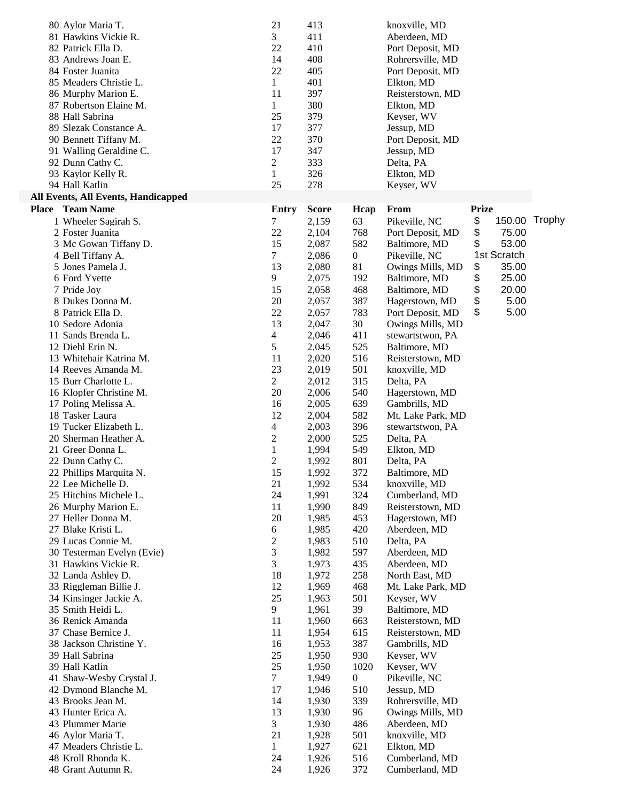| 80 Aylor Maria T.                          | 21             | 413          |                  | knoxville, MD     |              |        |
|--------------------------------------------|----------------|--------------|------------------|-------------------|--------------|--------|
| 81 Hawkins Vickie R.                       | 3              | 411          |                  | Aberdeen, MD      |              |        |
| 82 Patrick Ella D.                         | 22             | 410          |                  | Port Deposit, MD  |              |        |
| 83 Andrews Joan E.                         | 14             | 408          |                  | Rohrersville, MD  |              |        |
| 84 Foster Juanita                          | 22             | 405          |                  | Port Deposit, MD  |              |        |
| 85 Meaders Christie L.                     | $\mathbf{1}$   | 401          |                  | Elkton, MD        |              |        |
| 86 Murphy Marion E.                        | 11             | 397          |                  | Reisterstown, MD  |              |        |
| 87 Robertson Elaine M.                     | $\mathbf{1}$   | 380          |                  | Elkton, MD        |              |        |
| 88 Hall Sabrina                            | 25             | 379          |                  | Keyser, WV        |              |        |
| 89 Slezak Constance A.                     | 17             | 377          |                  | Jessup, MD        |              |        |
| 90 Bennett Tiffany M.                      | 22             | 370          |                  | Port Deposit, MD  |              |        |
| 91 Walling Geraldine C.                    | 17             | 347          |                  | Jessup, MD        |              |        |
| 92 Dunn Cathy C.                           | 2              | 333          |                  | Delta, PA         |              |        |
| 93 Kaylor Kelly R.                         | 1              | 326          |                  | Elkton, MD        |              |        |
| 94 Hall Katlin                             | 25             | 278          |                  | Keyser, WV        |              |        |
| <b>All Events, All Events, Handicapped</b> |                |              |                  |                   |              |        |
| Place Team Name                            | <b>Entry</b>   | <b>Score</b> | Hcap             | From              | <b>Prize</b> |        |
| 1 Wheeler Sagirah S.                       | 7              | 2,159        | 63               | Pikeville, NC     | \$<br>150.00 | Trophy |
| 2 Foster Juanita                           | 22             | 2,104        | 768              | Port Deposit, MD  | \$<br>75.00  |        |
| 3 Mc Gowan Tiffany D.                      | 15             | 2,087        | 582              | Baltimore, MD     | \$<br>53.00  |        |
| 4 Bell Tiffany A.                          | 7              | 2,086        | $\boldsymbol{0}$ | Pikeville, NC     | 1st Scratch  |        |
| 5 Jones Pamela J.                          | 13             | 2,080        | 81               | Owings Mills, MD  | \$<br>35.00  |        |
| 6 Ford Yvette                              | 9              | 2,075        | 192              | Baltimore, MD     | \$<br>25.00  |        |
| 7 Pride Joy                                | 15             | 2,058        | 468              | Baltimore, MD     | \$<br>20.00  |        |
| 8 Dukes Donna M.                           | 20             | 2,057        | 387              | Hagerstown, MD    | \$<br>5.00   |        |
| 8 Patrick Ella D.                          | 22             | 2,057        | 783              | Port Deposit, MD  | \$<br>5.00   |        |
| 10 Sedore Adonia                           | 13             | 2,047        | 30               | Owings Mills, MD  |              |        |
| 11 Sands Brenda L.                         | 4              | 2,046        | 411              | stewartstwon, PA  |              |        |
| 12 Diehl Erin N.                           | 5              | 2,045        | 525              |                   |              |        |
| 13 Whitehair Katrina M.                    | 11             |              | 516              | Baltimore, MD     |              |        |
|                                            |                | 2,020        |                  | Reisterstown, MD  |              |        |
| 14 Reeves Amanda M.                        | 23             | 2,019        | 501              | knoxville, MD     |              |        |
| 15 Burr Charlotte L.                       | 2              | 2,012        | 315              | Delta, PA         |              |        |
| 16 Klopfer Christine M.                    | 20             | 2,006        | 540              | Hagerstown, MD    |              |        |
| 17 Poling Melissa A.                       | 16             | 2,005        | 639              | Gambrills, MD     |              |        |
| 18 Tasker Laura                            | 12             | 2,004        | 582              | Mt. Lake Park, MD |              |        |
| 19 Tucker Elizabeth L.                     | 4              | 2,003        | 396              | stewartstwon, PA  |              |        |
| 20 Sherman Heather A.                      | $\overline{c}$ | 2,000        | 525              | Delta, PA         |              |        |
| 21 Greer Donna L.                          | 1              | 1,994        | 549              | Elkton, MD        |              |        |
| 22 Dunn Cathy C.                           | $\overline{c}$ | 1,992        | 801              | Delta, PA         |              |        |
| 22 Phillips Marquita N.                    | 15             | 1,992        | 372              | Baltimore, MD     |              |        |
| 22 Lee Michelle D.                         | 21             | 1,992        | 534              | knoxville, MD     |              |        |
| 25 Hitchins Michele L.                     | 24             | 1,991        | 324              | Cumberland, MD    |              |        |
| 26 Murphy Marion E.                        | 11             | 1,990        | 849              | Reisterstown, MD  |              |        |
| 27 Heller Donna M.                         | 20             | 1,985        | 453              | Hagerstown, MD    |              |        |
| 27 Blake Kristi L.                         | 6              | 1,985        | 420              | Aberdeen, MD      |              |        |
| 29 Lucas Connie M.                         | 2              | 1,983        | 510              | Delta, PA         |              |        |
| 30 Testerman Evelyn (Evie)                 | 3              | 1,982        | 597              | Aberdeen, MD      |              |        |
| 31 Hawkins Vickie R.                       | 3              | 1,973        | 435              | Aberdeen, MD      |              |        |
| 32 Landa Ashley D.                         | 18             | 1,972        | 258              | North East, MD    |              |        |
| 33 Riggleman Billie J.                     | 12             | 1,969        | 468              | Mt. Lake Park, MD |              |        |
| 34 Kinsinger Jackie A.                     | 25             | 1,963        | 501              | Keyser, WV        |              |        |
| 35 Smith Heidi L.                          | 9              | 1,961        | 39               | Baltimore, MD     |              |        |
| 36 Renick Amanda                           | 11             | 1,960        | 663              | Reisterstown, MD  |              |        |
| 37 Chase Bernice J.                        | 11             | 1,954        | 615              | Reisterstown, MD  |              |        |
| 38 Jackson Christine Y.                    | 16             | 1,953        | 387              | Gambrills, MD     |              |        |
| 39 Hall Sabrina                            | 25             | 1,950        | 930              | Keyser, WV        |              |        |
| 39 Hall Katlin                             | 25             | 1,950        | 1020             | Keyser, WV        |              |        |
| 41 Shaw-Wesby Crystal J.                   | 7              | 1,949        | 0                | Pikeville, NC     |              |        |
| 42 Dymond Blanche M.                       | 17             | 1,946        | 510              | Jessup, MD        |              |        |
| 43 Brooks Jean M.                          | 14             | 1,930        | 339              | Rohrersville, MD  |              |        |
| 43 Hunter Erica A.                         | 13             | 1,930        | 96               | Owings Mills, MD  |              |        |
| 43 Plummer Marie                           | 3              | 1,930        | 486              | Aberdeen, MD      |              |        |
| 46 Aylor Maria T.                          | 21             | 1,928        | 501              | knoxville, MD     |              |        |
| 47 Meaders Christie L.                     | $\mathbf{1}$   | 1,927        | 621              | Elkton, MD        |              |        |
| 48 Kroll Rhonda K.                         | 24             | 1,926        | 516              | Cumberland, MD    |              |        |
| 48 Grant Autumn R.                         | 24             | 1,926        | 372              | Cumberland, MD    |              |        |
|                                            |                |              |                  |                   |              |        |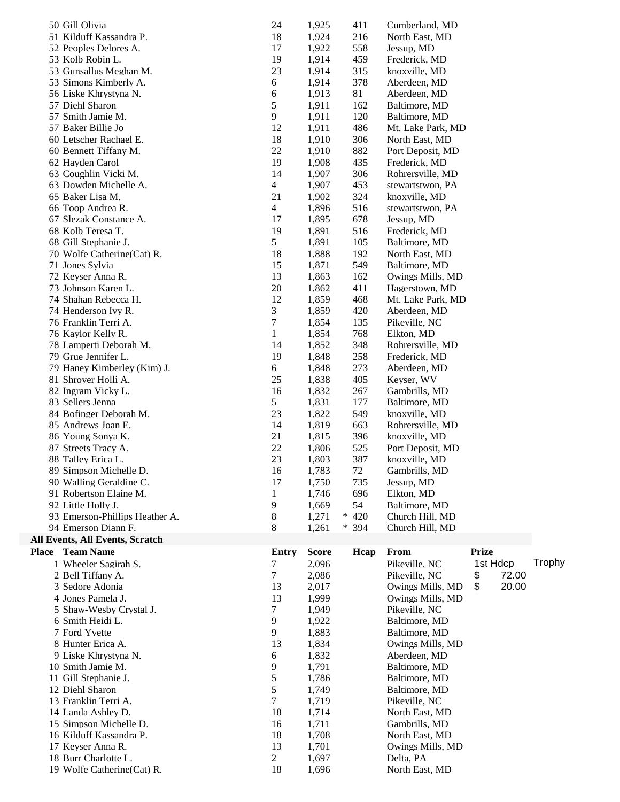| 50 Gill Olivia<br>51 Kilduff Kassandra P.<br>52 Peoples Delores A.<br>53 Kolb Robin L.<br>53 Gunsallus Meghan M.<br>53 Simons Kimberly A.<br>56 Liske Khrystyna N.<br>57 Diehl Sharon<br>57 Smith Jamie M.<br>57 Baker Billie Jo<br>60 Letscher Rachael E.<br>60 Bennett Tiffany M.<br>62 Hayden Carol<br>63 Coughlin Vicki M.<br>63 Dowden Michelle A.<br>65 Baker Lisa M.<br>66 Toop Andrea R.<br>67 Slezak Constance A.<br>68 Kolb Teresa T.<br>68 Gill Stephanie J.<br>70 Wolfe Catherine (Cat) R.<br>71 Jones Sylvia<br>72 Keyser Anna R.<br>73 Johnson Karen L.<br>74 Shahan Rebecca H.<br>74 Henderson Ivy R.<br>76 Franklin Terri A.<br>76 Kaylor Kelly R.<br>78 Lamperti Deborah M.<br>79 Grue Jennifer L.<br>79 Haney Kimberley (Kim) J. | 24<br>18<br>17<br>19<br>23<br>6<br>6<br>5<br>9<br>12<br>18<br>22<br>19<br>14<br>$\overline{4}$<br>21<br>$\overline{4}$<br>17<br>19<br>5<br>18<br>15<br>13<br>20<br>12<br>3<br>7<br>$\mathbf{1}$<br>14<br>19<br>6 | 1,925<br>1,924<br>1,922<br>1,914<br>1,914<br>1,914<br>1,913<br>1,911<br>1,911<br>1,911<br>1,910<br>1,910<br>1,908<br>1,907<br>1,907<br>1,902<br>1,896<br>1,895<br>1,891<br>1,891<br>1,888<br>1,871<br>1,863<br>1,862<br>1,859<br>1,859<br>1,854<br>1,854<br>1,852<br>1,848<br>1,848 | 411<br>216<br>558<br>459<br>315<br>378<br>81<br>162<br>120<br>486<br>306<br>882<br>435<br>306<br>453<br>324<br>516<br>678<br>516<br>105<br>192<br>549<br>162<br>411<br>468<br>420<br>135<br>768<br>348<br>258<br>273 | Cumberland, MD<br>North East, MD<br>Jessup, MD<br>Frederick, MD<br>knoxville, MD<br>Aberdeen, MD<br>Aberdeen, MD<br>Baltimore, MD<br>Baltimore, MD<br>Mt. Lake Park, MD<br>North East, MD<br>Port Deposit, MD<br>Frederick, MD<br>Rohrersville, MD<br>stewartstwon, PA<br>knoxville, MD<br>stewartstwon, PA<br>Jessup, MD<br>Frederick, MD<br>Baltimore, MD<br>North East, MD<br>Baltimore, MD<br>Owings Mills, MD<br>Hagerstown, MD<br>Mt. Lake Park, MD<br>Aberdeen, MD<br>Pikeville, NC<br>Elkton, MD<br>Rohrersville, MD<br>Frederick, MD<br>Aberdeen, MD |                         |        |
|----------------------------------------------------------------------------------------------------------------------------------------------------------------------------------------------------------------------------------------------------------------------------------------------------------------------------------------------------------------------------------------------------------------------------------------------------------------------------------------------------------------------------------------------------------------------------------------------------------------------------------------------------------------------------------------------------------------------------------------------------|------------------------------------------------------------------------------------------------------------------------------------------------------------------------------------------------------------------|-------------------------------------------------------------------------------------------------------------------------------------------------------------------------------------------------------------------------------------------------------------------------------------|----------------------------------------------------------------------------------------------------------------------------------------------------------------------------------------------------------------------|---------------------------------------------------------------------------------------------------------------------------------------------------------------------------------------------------------------------------------------------------------------------------------------------------------------------------------------------------------------------------------------------------------------------------------------------------------------------------------------------------------------------------------------------------------------|-------------------------|--------|
| 81 Shroyer Holli A.<br>82 Ingram Vicky L.                                                                                                                                                                                                                                                                                                                                                                                                                                                                                                                                                                                                                                                                                                          | 25<br>16                                                                                                                                                                                                         | 1,838<br>1,832                                                                                                                                                                                                                                                                      | 405<br>267                                                                                                                                                                                                           | Keyser, WV<br>Gambrills, MD                                                                                                                                                                                                                                                                                                                                                                                                                                                                                                                                   |                         |        |
| 83 Sellers Jenna<br>84 Bofinger Deborah M.                                                                                                                                                                                                                                                                                                                                                                                                                                                                                                                                                                                                                                                                                                         | 5<br>23                                                                                                                                                                                                          | 1,831<br>1,822                                                                                                                                                                                                                                                                      | 177<br>549                                                                                                                                                                                                           | Baltimore, MD<br>knoxville, MD                                                                                                                                                                                                                                                                                                                                                                                                                                                                                                                                |                         |        |
| 85 Andrews Joan E.<br>86 Young Sonya K.                                                                                                                                                                                                                                                                                                                                                                                                                                                                                                                                                                                                                                                                                                            | 14<br>21                                                                                                                                                                                                         | 1,819<br>1,815                                                                                                                                                                                                                                                                      | 663<br>396                                                                                                                                                                                                           | Rohrersville, MD<br>knoxville, MD                                                                                                                                                                                                                                                                                                                                                                                                                                                                                                                             |                         |        |
| 87 Streets Tracy A.                                                                                                                                                                                                                                                                                                                                                                                                                                                                                                                                                                                                                                                                                                                                | 22                                                                                                                                                                                                               | 1,806                                                                                                                                                                                                                                                                               | 525                                                                                                                                                                                                                  | Port Deposit, MD                                                                                                                                                                                                                                                                                                                                                                                                                                                                                                                                              |                         |        |
| 88 Talley Erica L.<br>89 Simpson Michelle D.                                                                                                                                                                                                                                                                                                                                                                                                                                                                                                                                                                                                                                                                                                       | 23<br>16                                                                                                                                                                                                         | 1,803<br>1,783                                                                                                                                                                                                                                                                      | 387<br>72                                                                                                                                                                                                            | knoxville, MD<br>Gambrills, MD                                                                                                                                                                                                                                                                                                                                                                                                                                                                                                                                |                         |        |
| 90 Walling Geraldine C.                                                                                                                                                                                                                                                                                                                                                                                                                                                                                                                                                                                                                                                                                                                            | 17                                                                                                                                                                                                               | 1,750                                                                                                                                                                                                                                                                               | 735                                                                                                                                                                                                                  | Jessup, MD                                                                                                                                                                                                                                                                                                                                                                                                                                                                                                                                                    |                         |        |
| 91 Robertson Elaine M.                                                                                                                                                                                                                                                                                                                                                                                                                                                                                                                                                                                                                                                                                                                             | 1                                                                                                                                                                                                                | 1,746                                                                                                                                                                                                                                                                               | 696                                                                                                                                                                                                                  | Elkton, MD                                                                                                                                                                                                                                                                                                                                                                                                                                                                                                                                                    |                         |        |
| 92 Little Holly J.                                                                                                                                                                                                                                                                                                                                                                                                                                                                                                                                                                                                                                                                                                                                 | 9                                                                                                                                                                                                                | 1,669                                                                                                                                                                                                                                                                               | 54                                                                                                                                                                                                                   | Baltimore, MD                                                                                                                                                                                                                                                                                                                                                                                                                                                                                                                                                 |                         |        |
| 93 Emerson-Phillips Heather A.<br>94 Emerson Diann F.                                                                                                                                                                                                                                                                                                                                                                                                                                                                                                                                                                                                                                                                                              | 8<br>8                                                                                                                                                                                                           | 1,271<br>1,261                                                                                                                                                                                                                                                                      | $* 420$<br>$* 394$                                                                                                                                                                                                   | Church Hill, MD<br>Church Hill, MD                                                                                                                                                                                                                                                                                                                                                                                                                                                                                                                            |                         |        |
| <b>All Events, All Events, Scratch</b>                                                                                                                                                                                                                                                                                                                                                                                                                                                                                                                                                                                                                                                                                                             |                                                                                                                                                                                                                  |                                                                                                                                                                                                                                                                                     |                                                                                                                                                                                                                      |                                                                                                                                                                                                                                                                                                                                                                                                                                                                                                                                                               |                         |        |
| Place Team Name                                                                                                                                                                                                                                                                                                                                                                                                                                                                                                                                                                                                                                                                                                                                    | <b>Entry</b>                                                                                                                                                                                                     | <b>Score</b>                                                                                                                                                                                                                                                                        | Hcap                                                                                                                                                                                                                 | From                                                                                                                                                                                                                                                                                                                                                                                                                                                                                                                                                          | <b>Prize</b>            |        |
| 1 Wheeler Sagirah S.<br>2 Bell Tiffany A.                                                                                                                                                                                                                                                                                                                                                                                                                                                                                                                                                                                                                                                                                                          | 7<br>7                                                                                                                                                                                                           | 2,096<br>2,086                                                                                                                                                                                                                                                                      |                                                                                                                                                                                                                      | Pikeville, NC<br>Pikeville, NC                                                                                                                                                                                                                                                                                                                                                                                                                                                                                                                                | 1st Hdcp<br>72.00<br>\$ | Trophy |
| 3 Sedore Adonia                                                                                                                                                                                                                                                                                                                                                                                                                                                                                                                                                                                                                                                                                                                                    | 13                                                                                                                                                                                                               | 2,017                                                                                                                                                                                                                                                                               |                                                                                                                                                                                                                      | Owings Mills, MD                                                                                                                                                                                                                                                                                                                                                                                                                                                                                                                                              | \$<br>20.00             |        |
| 4 Jones Pamela J.                                                                                                                                                                                                                                                                                                                                                                                                                                                                                                                                                                                                                                                                                                                                  | 13                                                                                                                                                                                                               | 1,999                                                                                                                                                                                                                                                                               |                                                                                                                                                                                                                      | Owings Mills, MD                                                                                                                                                                                                                                                                                                                                                                                                                                                                                                                                              |                         |        |
| 5 Shaw-Wesby Crystal J.                                                                                                                                                                                                                                                                                                                                                                                                                                                                                                                                                                                                                                                                                                                            | 7                                                                                                                                                                                                                | 1,949                                                                                                                                                                                                                                                                               |                                                                                                                                                                                                                      | Pikeville, NC                                                                                                                                                                                                                                                                                                                                                                                                                                                                                                                                                 |                         |        |
| 6 Smith Heidi L.                                                                                                                                                                                                                                                                                                                                                                                                                                                                                                                                                                                                                                                                                                                                   | 9                                                                                                                                                                                                                | 1,922                                                                                                                                                                                                                                                                               |                                                                                                                                                                                                                      | Baltimore, MD                                                                                                                                                                                                                                                                                                                                                                                                                                                                                                                                                 |                         |        |
| 7 Ford Yvette                                                                                                                                                                                                                                                                                                                                                                                                                                                                                                                                                                                                                                                                                                                                      | 9                                                                                                                                                                                                                | 1,883                                                                                                                                                                                                                                                                               |                                                                                                                                                                                                                      | Baltimore, MD                                                                                                                                                                                                                                                                                                                                                                                                                                                                                                                                                 |                         |        |
| 8 Hunter Erica A.<br>9 Liske Khrystyna N.                                                                                                                                                                                                                                                                                                                                                                                                                                                                                                                                                                                                                                                                                                          | 13<br>6                                                                                                                                                                                                          | 1,834<br>1,832                                                                                                                                                                                                                                                                      |                                                                                                                                                                                                                      | Owings Mills, MD<br>Aberdeen, MD                                                                                                                                                                                                                                                                                                                                                                                                                                                                                                                              |                         |        |
| 10 Smith Jamie M.                                                                                                                                                                                                                                                                                                                                                                                                                                                                                                                                                                                                                                                                                                                                  | 9                                                                                                                                                                                                                | 1,791                                                                                                                                                                                                                                                                               |                                                                                                                                                                                                                      | Baltimore, MD                                                                                                                                                                                                                                                                                                                                                                                                                                                                                                                                                 |                         |        |
| 11 Gill Stephanie J.                                                                                                                                                                                                                                                                                                                                                                                                                                                                                                                                                                                                                                                                                                                               | 5                                                                                                                                                                                                                | 1,786                                                                                                                                                                                                                                                                               |                                                                                                                                                                                                                      | Baltimore, MD                                                                                                                                                                                                                                                                                                                                                                                                                                                                                                                                                 |                         |        |
| 12 Diehl Sharon                                                                                                                                                                                                                                                                                                                                                                                                                                                                                                                                                                                                                                                                                                                                    | 5                                                                                                                                                                                                                | 1,749                                                                                                                                                                                                                                                                               |                                                                                                                                                                                                                      | Baltimore, MD                                                                                                                                                                                                                                                                                                                                                                                                                                                                                                                                                 |                         |        |
| 13 Franklin Terri A.                                                                                                                                                                                                                                                                                                                                                                                                                                                                                                                                                                                                                                                                                                                               | $\tau$                                                                                                                                                                                                           | 1,719                                                                                                                                                                                                                                                                               |                                                                                                                                                                                                                      | Pikeville, NC                                                                                                                                                                                                                                                                                                                                                                                                                                                                                                                                                 |                         |        |
| 14 Landa Ashley D.<br>15 Simpson Michelle D.                                                                                                                                                                                                                                                                                                                                                                                                                                                                                                                                                                                                                                                                                                       | 18<br>16                                                                                                                                                                                                         | 1,714<br>1,711                                                                                                                                                                                                                                                                      |                                                                                                                                                                                                                      | North East, MD<br>Gambrills, MD                                                                                                                                                                                                                                                                                                                                                                                                                                                                                                                               |                         |        |
| 16 Kilduff Kassandra P.                                                                                                                                                                                                                                                                                                                                                                                                                                                                                                                                                                                                                                                                                                                            | 18                                                                                                                                                                                                               | 1,708                                                                                                                                                                                                                                                                               |                                                                                                                                                                                                                      | North East, MD                                                                                                                                                                                                                                                                                                                                                                                                                                                                                                                                                |                         |        |
| 17 Keyser Anna R.                                                                                                                                                                                                                                                                                                                                                                                                                                                                                                                                                                                                                                                                                                                                  | 13                                                                                                                                                                                                               | 1,701                                                                                                                                                                                                                                                                               |                                                                                                                                                                                                                      | Owings Mills, MD                                                                                                                                                                                                                                                                                                                                                                                                                                                                                                                                              |                         |        |
| 18 Burr Charlotte L.                                                                                                                                                                                                                                                                                                                                                                                                                                                                                                                                                                                                                                                                                                                               | $\overline{2}$                                                                                                                                                                                                   | 1,697                                                                                                                                                                                                                                                                               |                                                                                                                                                                                                                      | Delta, PA                                                                                                                                                                                                                                                                                                                                                                                                                                                                                                                                                     |                         |        |
| 19 Wolfe Catherine(Cat) R.                                                                                                                                                                                                                                                                                                                                                                                                                                                                                                                                                                                                                                                                                                                         | 18                                                                                                                                                                                                               | 1,696                                                                                                                                                                                                                                                                               |                                                                                                                                                                                                                      | North East, MD                                                                                                                                                                                                                                                                                                                                                                                                                                                                                                                                                |                         |        |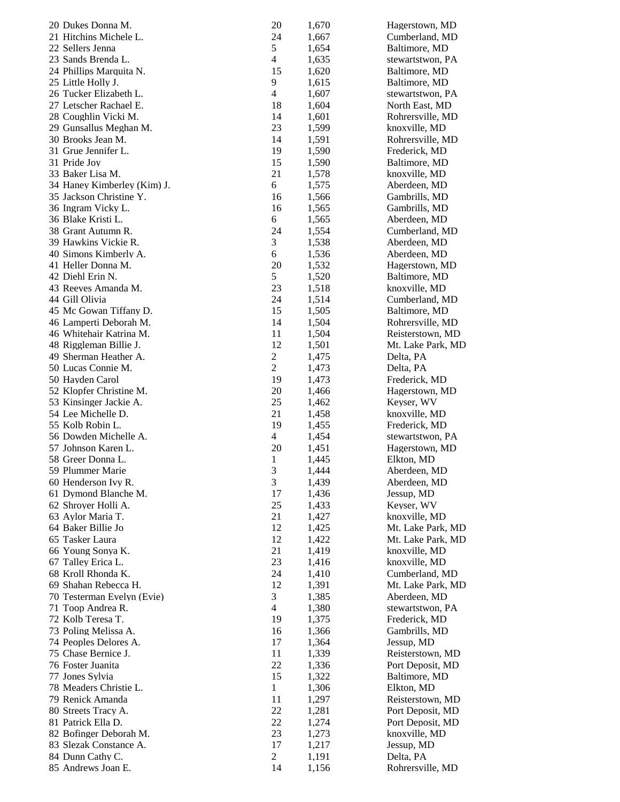| 20 Dukes Donna M.                      | 20                      | 1,670 | Hagerstown, MD    |
|----------------------------------------|-------------------------|-------|-------------------|
| 21 Hitchins Michele L.                 | 24                      | 1,667 | Cumberland, MD    |
| 22 Sellers Jenna                       | 5                       | 1,654 | Baltimore, MD     |
| 23 Sands Brenda L.                     | 4                       | 1,635 | stewartstwon, PA  |
| 24 Phillips Marquita N.                | 15                      | 1,620 | Baltimore, MD     |
| 25 Little Holly J.                     | 9                       | 1,615 | Baltimore, MD     |
| 26 Tucker Elizabeth L.                 | $\overline{4}$          | 1,607 | stewartstwon, PA  |
| 27 Letscher Rachael E.                 | 18                      | 1,604 | North East, MD    |
| 28 Coughlin Vicki M.                   | 14                      | 1,601 | Rohrersville, MD  |
| 29 Gunsallus Meghan M.                 | 23                      | 1,599 | knoxville, MD     |
| 30 Brooks Jean M.                      | 14                      | 1,591 | Rohrersville, MD  |
| 31 Grue Jennifer L.                    | 19                      | 1,590 | Frederick, MD     |
| 31 Pride Joy                           | 15                      | 1,590 | Baltimore, MD     |
| 33 Baker Lisa M.                       | 21                      | 1,578 | knoxville, MD     |
| 34 Haney Kimberley (Kim) J.            | 6                       | 1,575 | Aberdeen, MD      |
| 35 Jackson Christine Y.                | 16                      | 1,566 | Gambrills, MD     |
| 36 Ingram Vicky L.                     | 16                      | 1,565 | Gambrills, MD     |
| 36 Blake Kristi L.                     | 6                       | 1,565 | Aberdeen, MD      |
| 38 Grant Autumn R.                     | 24                      | 1,554 | Cumberland, MD    |
| 39 Hawkins Vickie R.                   | 3                       | 1,538 | Aberdeen, MD      |
| 40 Simons Kimberly A.                  | 6                       | 1,536 | Aberdeen, MD      |
| 41 Heller Donna M.                     | 20                      | 1,532 | Hagerstown, MD    |
| 42 Diehl Erin N.                       | 5                       | 1,520 | Baltimore, MD     |
| 43 Reeves Amanda M.                    | 23                      | 1,518 | knoxville, MD     |
| 44 Gill Olivia                         | 24                      | 1,514 | Cumberland, MD    |
| 45 Mc Gowan Tiffany D.                 | 15                      | 1,505 | Baltimore, MD     |
| 46 Lamperti Deborah M.                 | 14                      | 1,504 | Rohrersville, MD  |
| 46 Whitehair Katrina M.                | 11                      | 1,504 | Reisterstown, MD  |
| 48 Riggleman Billie J.                 | 12                      | 1,501 | Mt. Lake Park, MD |
| 49 Sherman Heather A.                  | $\overline{\mathbf{c}}$ | 1,475 | Delta, PA         |
| 50 Lucas Connie M.                     | $\overline{2}$          | 1,473 | Delta, PA         |
| 50 Hayden Carol                        | 19                      | 1,473 | Frederick, MD     |
| 52 Klopfer Christine M.                | 20                      | 1,466 | Hagerstown, MD    |
| 53 Kinsinger Jackie A.                 | 25                      | 1,462 | Keyser, WV        |
| 54 Lee Michelle D.                     | 21                      | 1,458 | knoxville, MD     |
| 55 Kolb Robin L.                       | 19                      | 1,455 | Frederick, MD     |
| 56 Dowden Michelle A.                  | $\overline{\mathbf{4}}$ | 1,454 | stewartstwon, PA  |
| 57 Johnson Karen L.                    | 20                      | 1,451 | Hagerstown, MD    |
| 58 Greer Donna L.                      | $\mathbf 1$             | 1,445 | Elkton, MD        |
| 59 Plummer Marie                       | 3                       | 1,444 | Aberdeen, MD      |
| 60 Henderson Ivy R.                    | 3                       | 1,439 | Aberdeen, MD      |
| 61 Dymond Blanche M.                   | 17                      | 1,436 | Jessup, MD        |
| 62 Shroyer Holli A.                    | 25                      | 1,433 | Keyser, WV        |
| 63 Aylor Maria T.                      | 21                      | 1,427 | knoxville, MD     |
| 64 Baker Billie Jo                     | 12                      | 1,425 | Mt. Lake Park, MD |
| 65 Tasker Laura                        | 12                      | 1,422 | Mt. Lake Park, MD |
| 66 Young Sonya K.                      | 21                      | 1,419 | knoxville, MD     |
| 67 Talley Erica L.                     | 23                      | 1,416 | knoxville, MD     |
| 68 Kroll Rhonda K.                     | 24                      | 1,410 | Cumberland, MD    |
| 69 Shahan Rebecca H.                   | 12                      | 1,391 | Mt. Lake Park, MD |
| 70 Testerman Evelyn (Evie)             | 3                       | 1,385 | Aberdeen, MD      |
| 71 Toop Andrea R.                      | $\overline{4}$          | 1,380 | stewartstwon, PA  |
| 72 Kolb Teresa T.                      | 19                      | 1,375 | Frederick, MD     |
| 73 Poling Melissa A.                   | 16                      | 1,366 | Gambrills, MD     |
| 74 Peoples Delores A.                  | 17                      | 1,364 | Jessup, MD        |
| 75 Chase Bernice J.                    | 11                      | 1,339 | Reisterstown, MD  |
| 76 Foster Juanita                      | 22                      | 1,336 | Port Deposit, MD  |
| 77 Jones Sylvia                        | 15                      | 1,322 | Baltimore, MD     |
| 78 Meaders Christie L.                 | $\mathbf{1}$            | 1,306 | Elkton, MD        |
| 79 Renick Amanda                       | 11                      | 1,297 | Reisterstown, MD  |
| 80 Streets Tracy A.                    | 22                      | 1,281 | Port Deposit, MD  |
| 81 Patrick Ella D.                     | 22                      | 1,274 | Port Deposit, MD  |
| 82 Bofinger Deborah M.                 | 23                      | 1,273 | knoxville, MD     |
| 83 Slezak Constance A.                 | 17                      | 1,217 | Jessup, MD        |
| 84 Dunn Cathy C.<br>85 Andrews Joan E. | $\overline{c}$          | 1,191 | Delta, PA         |
|                                        | 14                      | 1,156 | Rohrersville, MD  |